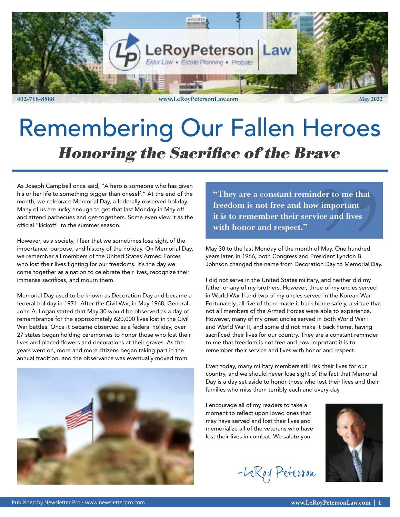

# Remembering Our Fallen Heroes Honoring the Sacrifice of the Brave

As Joseph Campbell once said, "A hero is someone who has given his or her life to something bigger than oneself." At the end of the month, we celebrate Memorial Day, a federally observed holiday. Many of us are lucky enough to get that last Monday in May off and attend barbecues and get-togethers. Some even view it as the official "kickoff" to the summer season.

However, as a society, I fear that we sometimes lose sight of the importance, purpose, and history of the holiday. On Memorial Day, we remember all members of the United States Armed Forces who lost their lives fighting for our freedoms. It's the day we come together as a nation to celebrate their lives, recognize their immense sacrifices, and mourn them.

Memorial Day used to be known as Decoration Day and became a federal holiday in 1971. After the Civil War, in May 1968, General John A. Logan stated that May 30 would be observed as a day of remembrance for the approximately 620,000 lives lost in the Civil War battles. Once it became observed as a federal holiday, over 27 states began holding ceremonies to honor those who lost their lives and placed flowers and decorations at their graves. As the years went on, more and more citizens began taking part in the annual tradition, and the observance was eventually moved from



"They are a constant reminder to me that freedom is not free and how important it is to remember their service and lives with honor and respect."

May 30 to the last Monday of the month of May. One hundred years later, in 1966, both Congress and President Lyndon B. Johnson changed the name from Decoration Day to Memorial Day.

I did not serve in the United States military, and neither did my father or any of my brothers. However, three of my uncles served in World War II and two of my uncles served in the Korean War. Fortunately, all five of them made it back home safely, a virtue that not all members of the Armed Forces were able to experience. However, many of my great uncles served in both World War I and World War II, and some did not make it back home, having sacrificed their lives for our country. They are a constant reminder to me that freedom is not free and how important it is to remember their service and lives with honor and respect.

Even today, many military members still risk their lives for our country, and we should never lose sight of the fact that Memorial Day is a day set aside to honor those who lost their lives and their families who miss them terribly each and every day.

I encourage all of my readers to take a moment to reflect upon loved ones that may have served and lost their lives and memorialize all of the veterans who have lost their lives in combat. We salute you.

-LeRoy Peterson

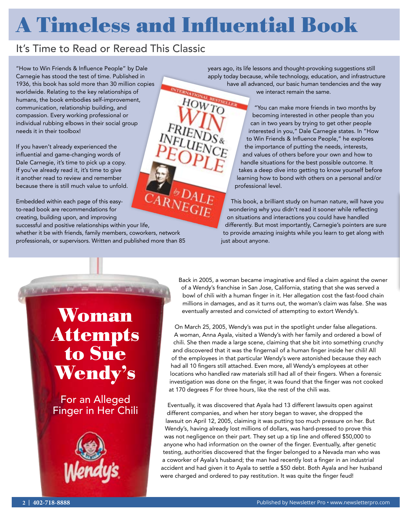# A Timeless and Influential Book

#### It's Time to Read or Reread This Classic

"How to Win Friends & Influence People" by Dale Carnegie has stood the test of time. Published in 1936, this book has sold more than 30 million copies worldwide. Relating to the key relationships of humans, the book embodies self-improvement, communication, relationship building, and compassion. Every working professional or individual rubbing elbows in their social group needs it in their toolbox!

If you haven't already experienced the influential and game-changing words of Dale Carnegie, it's time to pick up a copy. If you've already read it, it's time to give it another read to review and remember because there is still much value to unfold.

ARNEGIE Embedded within each page of this easyto-read book are recommendations for creating, building upon, and improving successful and positive relationships within your life, whether it be with friends, family members, coworkers, network professionals, or supervisors. Written and published more than 85

years ago, its life lessons and thought-provoking suggestions still apply today because, while technology, education, and infrastructure have all advanced, our basic human tendencies and the way we interact remain the same. HOWTO

"You can make more friends in two months by becoming interested in other people than you can in two years by trying to get other people interested in you," Dale Carnegie states. In "How to Win Friends & Influence People," he explores the importance of putting the needs, interests, and values of others before your own and how to handle situations for the best possible outcome. It takes a deep dive into getting to know yourself before learning how to bond with others on a personal and/or professional level.

This book, a brilliant study on human nature, will have you wondering why you didn't read it sooner while reflecting on situations and interactions you could have handled differently. But most importantly, Carnegie's pointers are sure to provide amazing insights while you learn to get along with just about anyone.

## Woman Attempts to Sue Wendy's

For an Alleged Finger in Her Chili



Back in 2005, a woman became imaginative and filed a claim against the owner of a Wendy's franchise in San Jose, California, stating that she was served a bowl of chili with a human finger in it. Her allegation cost the fast-food chain millions in damages, and as it turns out, the woman's claim was false. She was eventually arrested and convicted of attempting to extort Wendy's.

On March 25, 2005, Wendy's was put in the spotlight under false allegations. A woman, Anna Ayala, visited a Wendy's with her family and ordered a bowl of chili. She then made a large scene, claiming that she bit into something crunchy and discovered that it was the fingernail of a human finger inside her chili! All of the employees in that particular Wendy's were astonished because they each had all 10 fingers still attached. Even more, all Wendy's employees at other locations who handled raw materials still had all of their fingers. When a forensic investigation was done on the finger, it was found that the finger was not cooked at 170 degrees F for three hours, like the rest of the chili was.

Eventually, it was discovered that Ayala had 13 different lawsuits open against different companies, and when her story began to waver, she dropped the lawsuit on April 12, 2005, claiming it was putting too much pressure on her. But Wendy's, having already lost millions of dollars, was hard-pressed to prove this was not negligence on their part. They set up a tip line and offered \$50,000 to anyone who had information on the owner of the finger. Eventually, after genetic testing, authorities discovered that the finger belonged to a Nevada man who was a coworker of Ayala's husband; the man had recently lost a finger in an industrial accident and had given it to Ayala to settle a \$50 debt. Both Ayala and her husband were charged and ordered to pay restitution. It was quite the finger feud!

**Top Top Top Co**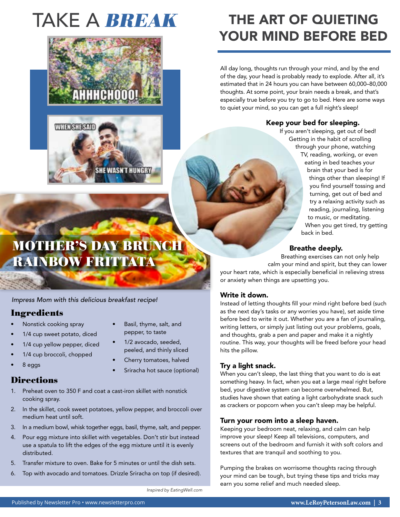# TAKE A **BREAK**



### THE ART OF QUIETING YOUR MIND BEFORE BED

All day long, thoughts run through your mind, and by the end of the day, your head is probably ready to explode. After all, it's estimated that in 24 hours you can have between 60,000–80,000 thoughts. At some point, your brain needs a break, and that's especially true before you try to go to bed. Here are some ways to quiet your mind, so you can get a full night's sleep!

#### Keep your bed for sleeping.

If you aren't sleeping, get out of bed! Getting in the habit of scrolling through your phone, watching TV, reading, working, or even eating in bed teaches your brain that your bed is for things other than sleeping! If you find yourself tossing and turning, get out of bed and try a relaxing activity such as reading, journaling, listening to music, or meditating. When you get tired, try getting back in bed.

#### Breathe deeply.

Breathing exercises can not only help calm your mind and spirit, but they can lower your heart rate, which is especially beneficial in relieving stress or anxiety when things are upsetting you.

#### Write it down.

Instead of letting thoughts fill your mind right before bed (such as the next day's tasks or any worries you have), set aside time before bed to write it out. Whether you are a fan of journaling, writing letters, or simply just listing out your problems, goals, and thoughts, grab a pen and paper and make it a nightly routine. This way, your thoughts will be freed before your head hits the pillow.

#### Try a light snack.

When you can't sleep, the last thing that you want to do is eat something heavy. In fact, when you eat a large meal right before bed, your digestive system can become overwhelmed. But, studies have shown that eating a light carbohydrate snack such as crackers or popcorn when you can't sleep may be helpful.

#### Turn your room into a sleep haven.

Keeping your bedroom neat, relaxing, and calm can help improve your sleep! Keep all televisions, computers, and screens out of the bedroom and furnish it with soft colors and textures that are tranquil and soothing to you.

Pumping the brakes on worrisome thoughts racing through your mind can be tough, but trying these tips and tricks may earn you some relief and much needed sleep.

### MOTHER'S DAY BRUNCH RAINBOW FRITTATA

*Impress Mom with this delicious breakfast recipe!* 

#### Ingredients

- Nonstick cooking spray
- 1/4 cup sweet potato, diced
- 1/4 cup yellow pepper, diced
- 1/4 cup broccoli, chopped
- 8 eggs

#### **Directions**

- 1. Preheat oven to 350 F and coat a cast-iron skillet with nonstick cooking spray.
- 2. In the skillet, cook sweet potatoes, yellow pepper, and broccoli over medium heat until soft.
- 3. In a medium bowl, whisk together eggs, basil, thyme, salt, and pepper.
- 4. Pour egg mixture into skillet with vegetables. Don't stir but instead use a spatula to lift the edges of the egg mixture until it is evenly distributed.
- 5. Transfer mixture to oven. Bake for 5 minutes or until the dish sets.
- 6. Top with avocado and tomatoes. Drizzle Sriracha on top (if desired).

*Inspired by EatingWell.com* 

• Basil, thyme, salt, and pepper, to taste • 1/2 avocado, seeded, peeled, and thinly sliced Cherry tomatoes, halved • Sriracha hot sauce (optional)